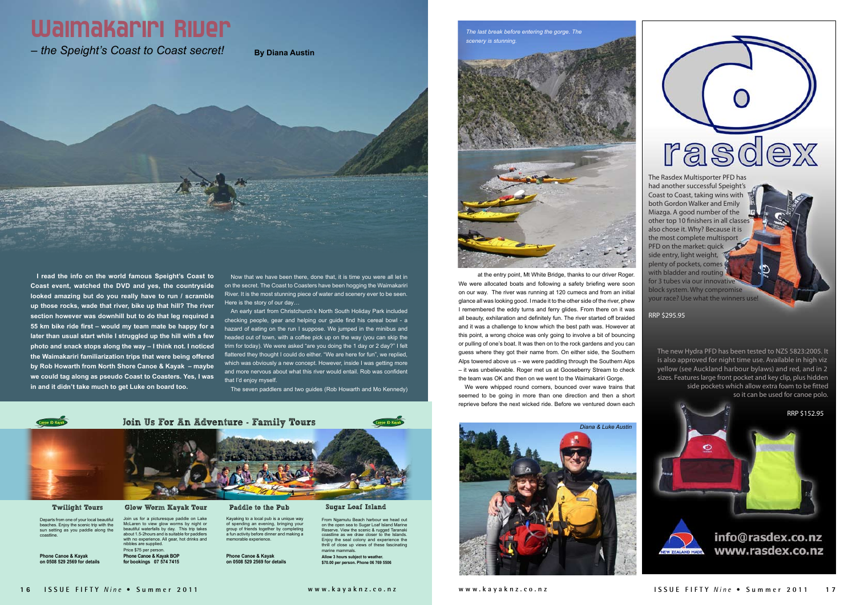

### Twilight Tours

Departs from one of your local beautiful beaches. Enjoy the scenic trip with the sun setting as you paddle along the coastline.

**Phone Canoe & Kayak on 0508 529 2569 for details**

### Glow Worm Kayak Tour

Join us for a picturesque paddle on Lake McLaren to view glow worms by night or beautiful waterfalls by day. This trip takes about 1.5-2hours and is suitable for paddlers with no experience. All gear, hot drinks and nibbles are supplied. Price \$75 per person. **Phone Canoe & Kayak BOP for bookings 07 574 7415**

### Paddle to the Pub

Kayaking to a local pub is a unique way of spending an evening, bringing your group of friends together by completing a fun activity before dinner and making a memorable experience.

**Phone Canoe & Kayak on 0508 529 2569 for details**

### Sugar Loaf Island

Now that we have been there, done that, it is time you were all let in on the secret. The Coast to Coasters have been hogging the Waimakariri River. It is the most stunning piece of water and scenery ever to be seen. Here is the story of our day.

> From Ngamutu Beach harbour we head out on the open sea to Sugar Loaf Island Marine Reserve. View the scenic & rugged Taranaki coastline as we draw closer to the Islands. Enjoy the seal colony and experience the thrill of close up views of these fascinating  $marine$  mami **Allow 3 hours subject to weather. \$70.00 per person. Phone 06 769 5506**



An early start from Christchurch's North South Holiday Park included checking people, gear and helping our guide find his cereal bowl - a hazard of eating on the run I suppose. We jumped in the minibus and headed out of town, with a coffee pick up on the way (you can skip the trim for today). We were asked "are you doing the 1 day or 2 day?" I felt flattered they thought I could do either. "We are here for fun", we replied, which was obviously a new concept. However, inside I was getting more and more nervous about what this river would entail. Rob was confident that I'd enjoy myself.

**I read the info on the world famous Speight's Coast to Coast event, watched the DVD and yes, the countryside looked amazing but do you really have to run / scramble up those rocks, wade that river, bike up that hill? The river section however was downhill but to do that leg required a 55 km bike ride first – would my team mate be happy for a later than usual start while I struggled up the hill with a few photo and snack stops along the way – I think not. I noticed the Waimakariri familiarization trips that were being offered by Rob Howarth from North Shore Canoe & Kayak – maybe we could tag along as pseudo Coast to Coasters. Yes, I was in and it didn't take much to get Luke on board too.**

> RRP \$152.95 G info@rasdex.co.nz www.rasdex.co.nz NEW ZEALAND MADE

rasd  $\mathbb{R}$ The Rasdex Multisporter PFD has had another successful Speight's Coast to Coast, taking wins with both Gordon Walker and Emily Miazga. A good number of the other top 10 finishers in all classes also chose it. Why? Because it is the most complete multisport PFD on the market: quick side entry, light weight, plenty of pockets, comes with bladder and routing for 3 tubes via our innovative block system. Why compromise your race? Use what the winners use!

at the entry point. Mt White Bridge, thanks to our driver Roger. We were allocated boats and following a safety briefing were soon on our way. The river was running at 120 cumecs and from an initial glance all was looking good. I made it to the other side of the river, phew I remembered the eddy turns and ferry glides. From there on it was all beauty, exhilaration and definitely fun. The river started off braided and it was a challenge to know which the best path was. However at this point, a wrong choice was only going to involve a bit of bouncing or pulling of one's boat. It was then on to the rock gardens and you can guess where they got their name from. On either side, the Southern Alps towered above us – we were paddling through the Southern Alps – it was unbelievable. Roger met us at Gooseberry Stream to check the team was OK and then on we went to the Waimakariri Gorge.

The seven paddlers and two guides (Rob Howarth and Mo Kennedy)

### Waimakariri River

 $-$  the Speight's Coast to Coast secret! **By Diana Austin** 



The new Hydra PFD has been tested to NZS 5823:2005. It is also approved for night time use. Available in high viz yellow (see Auckland harbour bylaws) and red, and in 2 sizes. Features large front pocket and key clip, plus hidden side pockets which allow extra foam to be fitted so it can be used for canoe polo.

RRP \$295.95

We were whipped round corners, bounced over wave trains that seemed to be going in more than one direction and then a short reprieve before the next wicked ride. Before we ventured down each



*The last break before entering the gorge. The* 

*scenery is stunning.*